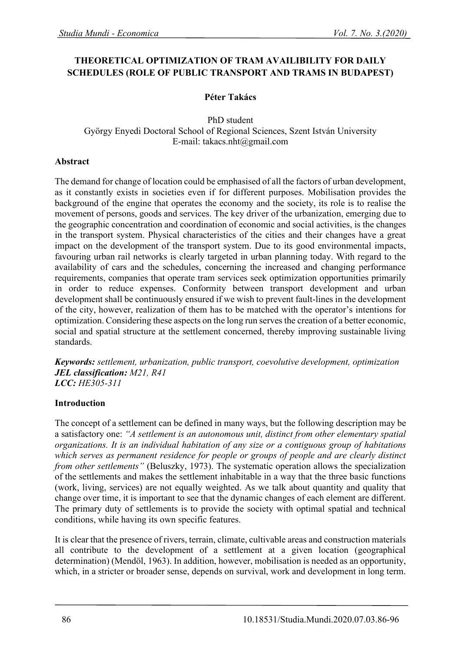# **THEORETICAL OPTIMIZATION OF TRAM AVAILIBILITY FOR DAILY SCHEDULES (ROLE OF PUBLIC TRANSPORT AND TRAMS IN BUDAPEST)**

## **Péter Takács**

#### PhD student György Enyedi Doctoral School of Regional Sciences, Szent István University E-mail: takacs.nht@gmail.com

#### **Abstract**

The demand for change of location could be emphasised of all the factors of urban development, as it constantly exists in societies even if for different purposes. Mobilisation provides the background of the engine that operates the economy and the society, its role is to realise the movement of persons, goods and services. The key driver of the urbanization, emerging due to the geographic concentration and coordination of economic and social activities, is the changes in the transport system. Physical characteristics of the cities and their changes have a great impact on the development of the transport system. Due to its good environmental impacts, favouring urban rail networks is clearly targeted in urban planning today. With regard to the availability of cars and the schedules, concerning the increased and changing performance requirements, companies that operate tram services seek optimization opportunities primarily in order to reduce expenses. Conformity between transport development and urban development shall be continuously ensured if we wish to prevent fault-lines in the development of the city, however, realization of them has to be matched with the operator's intentions for optimization. Considering these aspects on the long run serves the creation of a better economic, social and spatial structure at the settlement concerned, thereby improving sustainable living standards.

*Keywords: settlement, urbanization, public transport, coevolutive development, optimization JEL classification: M21, R41 LCC: HE305-311*

## **Introduction**

The concept of a settlement can be defined in many ways, but the following description may be a satisfactory one: *"A settlement is an autonomous unit, distinct from other elementary spatial organizations. It is an individual habitation of any size or a contiguous group of habitations which serves as permanent residence for people or groups of people and are clearly distinct from other settlements*" (Beluszky, 1973). The systematic operation allows the specialization of the settlements and makes the settlement inhabitable in a way that the three basic functions (work, living, services) are not equally weighted. As we talk about quantity and quality that change over time, it is important to see that the dynamic changes of each element are different. The primary duty of settlements is to provide the society with optimal spatial and technical conditions, while having its own specific features.

It is clear that the presence of rivers, terrain, climate, cultivable areas and construction materials all contribute to the development of a settlement at a given location (geographical determination) (Mendöl, 1963). In addition, however, mobilisation is needed as an opportunity, which, in a stricter or broader sense, depends on survival, work and development in long term.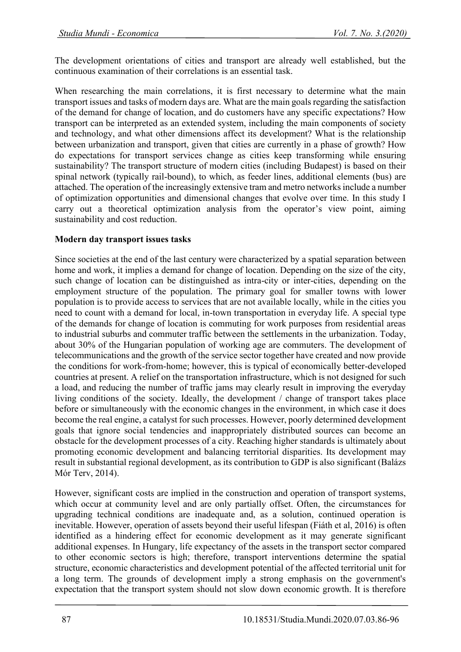The development orientations of cities and transport are already well established, but the continuous examination of their correlations is an essential task.

When researching the main correlations, it is first necessary to determine what the main transport issues and tasks of modern days are. What are the main goals regarding the satisfaction of the demand for change of location, and do customers have any specific expectations? How transport can be interpreted as an extended system, including the main components of society and technology, and what other dimensions affect its development? What is the relationship between urbanization and transport, given that cities are currently in a phase of growth? How do expectations for transport services change as cities keep transforming while ensuring sustainability? The transport structure of modern cities (including Budapest) is based on their spinal network (typically rail-bound), to which, as feeder lines, additional elements (bus) are attached. The operation of the increasingly extensive tram and metro networks include a number of optimization opportunities and dimensional changes that evolve over time. In this study I carry out a theoretical optimization analysis from the operator's view point, aiming sustainability and cost reduction.

## **Modern day transport issues tasks**

Since societies at the end of the last century were characterized by a spatial separation between home and work, it implies a demand for change of location. Depending on the size of the city, such change of location can be distinguished as intra-city or inter-cities, depending on the employment structure of the population. The primary goal for smaller towns with lower population is to provide access to services that are not available locally, while in the cities you need to count with a demand for local, in-town transportation in everyday life. A special type of the demands for change of location is commuting for work purposes from residential areas to industrial suburbs and commuter traffic between the settlements in the urbanization. Today, about 30% of the Hungarian population of working age are commuters. The development of telecommunications and the growth of the service sector together have created and now provide the conditions for work-from-home; however, this is typical of economically better-developed countries at present. A relief on the transportation infrastructure, which is not designed for such a load, and reducing the number of traffic jams may clearly result in improving the everyday living conditions of the society. Ideally, the development / change of transport takes place before or simultaneously with the economic changes in the environment, in which case it does become the real engine, a catalyst for such processes. However, poorly determined development goals that ignore social tendencies and inappropriately distributed sources can become an obstacle for the development processes of a city. Reaching higher standards is ultimately about promoting economic development and balancing territorial disparities. Its development may result in substantial regional development, as its contribution to GDP is also significant (Balázs Mór Terv, 2014).

However, significant costs are implied in the construction and operation of transport systems, which occur at community level and are only partially offset. Often, the circumstances for upgrading technical conditions are inadequate and, as a solution, continued operation is inevitable. However, operation of assets beyond their useful lifespan (Fiáth et al, 2016) is often identified as a hindering effect for economic development as it may generate significant additional expenses. In Hungary, life expectancy of the assets in the transport sector compared to other economic sectors is high; therefore, transport interventions determine the spatial structure, economic characteristics and development potential of the affected territorial unit for a long term. The grounds of development imply a strong emphasis on the government's expectation that the transport system should not slow down economic growth. It is therefore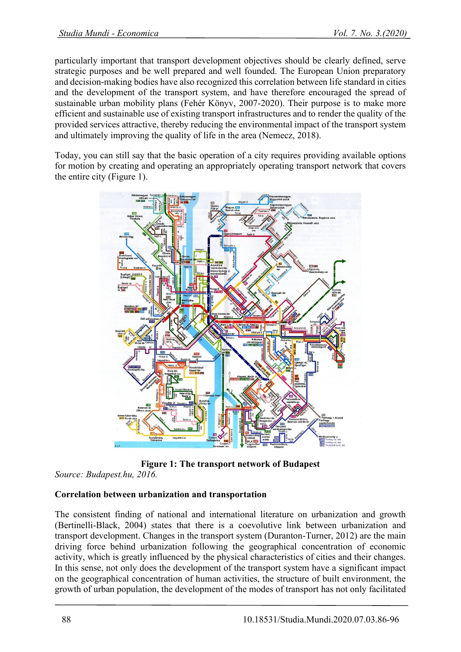particularly important that transport development objectives should be clearly defined, serve strategic purposes and be well prepared and well founded. The European Union preparatory and decision-making bodies have also recognized this correlation between life standard in cities and the development of the transport system, and have therefore encouraged the spread of sustainable urban mobility plans (Fehér Könyv, 2007-2020). Their purpose is to make more efficient and sustainable use of existing transport infrastructures and to render the quality of the provided services attractive, thereby reducing the environmental impact of the transport system and ultimately improving the quality of life in the area (Nemecz, 2018).

Today, you can still say that the basic operation of a city requires providing available options for motion by creating and operating an appropriately operating transport network that covers the entire city (Figure 1).



**Figure 1: The transport network of Budapest**

## *Source: Budapest.hu, 2016.*

## **Correlation between urbanization and transportation**

The consistent finding of national and international literature on urbanization and growth (Bertinelli-Black, 2004) states that there is a coevolutive link between urbanization and transport development. Changes in the transport system (Duranton-Turner, 2012) are the main driving force behind urbanization following the geographical concentration of economic activity, which is greatly influenced by the physical characteristics of cities and their changes. In this sense, not only does the development of the transport system have a significant impact on the geographical concentration of human activities, the structure of built environment, the growth of urban population, the development of the modes of transport has not only facilitated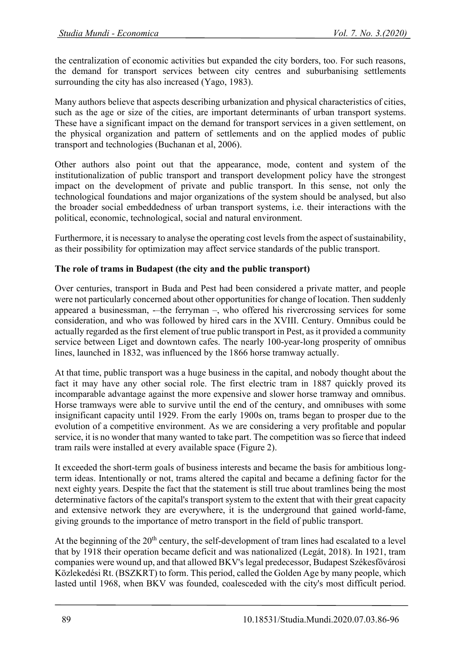the centralization of economic activities but expanded the city borders, too. For such reasons, the demand for transport services between city centres and suburbanising settlements surrounding the city has also increased (Yago, 1983).

Many authors believe that aspects describing urbanization and physical characteristics of cities, such as the age or size of the cities, are important determinants of urban transport systems. These have a significant impact on the demand for transport services in a given settlement, on the physical organization and pattern of settlements and on the applied modes of public transport and technologies (Buchanan et al, 2006).

Other authors also point out that the appearance, mode, content and system of the institutionalization of public transport and transport development policy have the strongest impact on the development of private and public transport. In this sense, not only the technological foundations and major organizations of the system should be analysed, but also the broader social embeddedness of urban transport systems, i.e. their interactions with the political, economic, technological, social and natural environment.

Furthermore, it is necessary to analyse the operating cost levels from the aspect of sustainability, as their possibility for optimization may affect service standards of the public transport.

## **The role of trams in Budapest (the city and the public transport)**

Over centuries, transport in Buda and Pest had been considered a private matter, and people were not particularly concerned about other opportunities for change of location. Then suddenly appeared a businessman, -–the ferryman –, who offered his rivercrossing services for some consideration, and who was followed by hired cars in the XVIII. Century. Omnibus could be actually regarded as the first element of true public transport in Pest, as it provided a community service between Liget and downtown cafes. The nearly 100-year-long prosperity of omnibus lines, launched in 1832, was influenced by the 1866 horse tramway actually.

At that time, public transport was a huge business in the capital, and nobody thought about the fact it may have any other social role. The first electric tram in 1887 quickly proved its incomparable advantage against the more expensive and slower horse tramway and omnibus. Horse tramways were able to survive until the end of the century, and omnibuses with some insignificant capacity until 1929. From the early 1900s on, trams began to prosper due to the evolution of a competitive environment. As we are considering a very profitable and popular service, it is no wonder that many wanted to take part. The competition was so fierce that indeed tram rails were installed at every available space (Figure 2).

It exceeded the short-term goals of business interests and became the basis for ambitious longterm ideas. Intentionally or not, trams altered the capital and became a defining factor for the next eighty years. Despite the fact that the statement is still true about tramlines being the most determinative factors of the capital's transport system to the extent that with their great capacity and extensive network they are everywhere, it is the underground that gained world-fame, giving grounds to the importance of metro transport in the field of public transport.

At the beginning of the  $20<sup>th</sup>$  century, the self-development of tram lines had escalated to a level that by 1918 their operation became deficit and was nationalized (Legát, 2018). In 1921, tram companies were wound up, and that allowed BKV's legal predecessor, Budapest Székesfővárosi Közlekedési Rt. (BSZKRT) to form. This period, called the Golden Age by many people, which lasted until 1968, when BKV was founded, coalesceded with the city's most difficult period.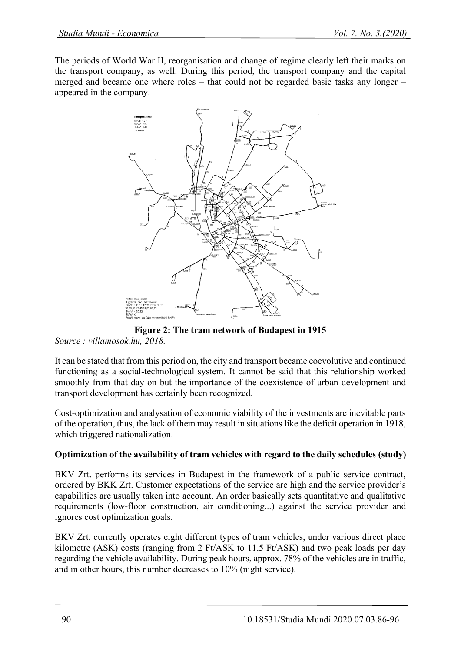The periods of World War II, reorganisation and change of regime clearly left their marks on the transport company, as well. During this period, the transport company and the capital merged and became one where roles – that could not be regarded basic tasks any longer – appeared in the company.



**Figure 2: The tram network of Budapest in 1915** *Source : villamosok.hu, 2018.*

It can be stated that from this period on, the city and transport became coevolutive and continued functioning as a social-technological system. It cannot be said that this relationship worked smoothly from that day on but the importance of the coexistence of urban development and transport development has certainly been recognized.

Cost-optimization and analysation of economic viability of the investments are inevitable parts of the operation, thus, the lack of them may result in situations like the deficit operation in 1918, which triggered nationalization.

## **Optimization of the availability of tram vehicles with regard to the daily schedules (study)**

BKV Zrt. performs its services in Budapest in the framework of a public service contract, ordered by BKK Zrt. Customer expectations of the service are high and the service provider's capabilities are usually taken into account. An order basically sets quantitative and qualitative requirements (low-floor construction, air conditioning...) against the service provider and ignores cost optimization goals.

BKV Zrt. currently operates eight different types of tram vehicles, under various direct place kilometre (ASK) costs (ranging from 2 Ft/ASK to 11.5 Ft/ASK) and two peak loads per day regarding the vehicle availability. During peak hours, approx. 78% of the vehicles are in traffic, and in other hours, this number decreases to 10% (night service).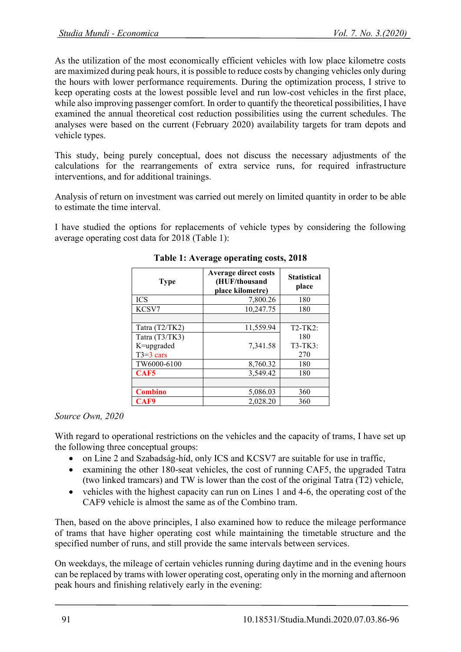As the utilization of the most economically efficient vehicles with low place kilometre costs are maximized during peak hours, it is possible to reduce costs by changing vehicles only during the hours with lower performance requirements. During the optimization process, I strive to keep operating costs at the lowest possible level and run low-cost vehicles in the first place, while also improving passenger comfort. In order to quantify the theoretical possibilities, I have examined the annual theoretical cost reduction possibilities using the current schedules. The analyses were based on the current (February 2020) availability targets for tram depots and vehicle types.

This study, being purely conceptual, does not discuss the necessary adjustments of the calculations for the rearrangements of extra service runs, for required infrastructure interventions, and for additional trainings.

Analysis of return on investment was carried out merely on limited quantity in order to be able to estimate the time interval.

I have studied the options for replacements of vehicle types by considering the following average operating cost data for 2018 (Table 1):

| <b>Type</b>      | <b>Average direct costs</b><br>(HUF/thousand<br>place kilometre) | <b>Statistical</b><br>place |
|------------------|------------------------------------------------------------------|-----------------------------|
| <b>ICS</b>       | 7,800.26                                                         | 180                         |
| KCSV7            | 10,247.75                                                        | 180                         |
|                  |                                                                  |                             |
| Tatra (T2/TK2)   | 11,559.94                                                        | $T2-TK2$ :                  |
| Tatra (T3/TK3)   |                                                                  | 180                         |
| K=upgraded       | 7.341.58                                                         | $T3-TK3$ :                  |
| $T3=3$ cars      |                                                                  | 270                         |
| TW6000-6100      | 8,760.32                                                         | 180                         |
| CAF <sub>5</sub> | 3,549.42                                                         | 180                         |
|                  |                                                                  |                             |
| <b>Combino</b>   | 5,086.03                                                         | 360                         |
| CAF9             | 2.028.20                                                         | 360                         |

## **Table 1: Average operating costs, 2018**

#### *Source Own, 2020*

With regard to operational restrictions on the vehicles and the capacity of trams, I have set up the following three conceptual groups:

- on Line 2 and Szabadság-híd, only ICS and KCSV7 are suitable for use in traffic,
- examining the other 180-seat vehicles, the cost of running CAF5, the upgraded Tatra (two linked tramcars) and TW is lower than the cost of the original Tatra (T2) vehicle,
- vehicles with the highest capacity can run on Lines 1 and 4-6, the operating cost of the CAF9 vehicle is almost the same as of the Combino tram.

Then, based on the above principles, I also examined how to reduce the mileage performance of trams that have higher operating cost while maintaining the timetable structure and the specified number of runs, and still provide the same intervals between services.

On weekdays, the mileage of certain vehicles running during daytime and in the evening hours can be replaced by trams with lower operating cost, operating only in the morning and afternoon peak hours and finishing relatively early in the evening: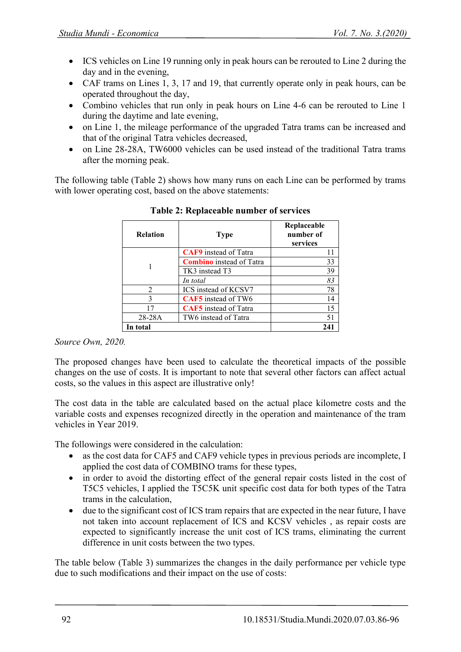- ICS vehicles on Line 19 running only in peak hours can be rerouted to Line 2 during the day and in the evening,
- CAF trams on Lines 1, 3, 17 and 19, that currently operate only in peak hours, can be operated throughout the day,
- Combino vehicles that run only in peak hours on Line 4-6 can be rerouted to Line 1 during the daytime and late evening,
- on Line 1, the mileage performance of the upgraded Tatra trams can be increased and that of the original Tatra vehicles decreased,
- on Line 28-28A, TW6000 vehicles can be used instead of the traditional Tatra trams after the morning peak.

The following table (Table 2) shows how many runs on each Line can be performed by trams with lower operating cost, based on the above statements:

| <b>Relation</b> | <b>Type</b>                     | Replaceable<br>number of<br>services |
|-----------------|---------------------------------|--------------------------------------|
|                 | <b>CAF9</b> instead of Tatra    |                                      |
|                 | <b>Combino</b> instead of Tatra | 33                                   |
|                 | TK3 instead T3                  | 39                                   |
|                 | In total                        | 83                                   |
| $\mathfrak{D}$  | ICS instead of KCSV7            | 78                                   |
| 3               | CAF5 instead of TW6             | 14                                   |
| 17              | <b>CAF5</b> instead of Tatra    | 15                                   |
| $28 - 28A$      | TW6 instead of Tatra            | 51                                   |
| In total        |                                 | 241                                  |

#### **Table 2: Replaceable number of services**

*Source Own, 2020.*

The proposed changes have been used to calculate the theoretical impacts of the possible changes on the use of costs. It is important to note that several other factors can affect actual costs, so the values in this aspect are illustrative only!

The cost data in the table are calculated based on the actual place kilometre costs and the variable costs and expenses recognized directly in the operation and maintenance of the tram vehicles in Year 2019.

The followings were considered in the calculation:

- as the cost data for CAF5 and CAF9 vehicle types in previous periods are incomplete, I applied the cost data of COMBINO trams for these types,
- in order to avoid the distorting effect of the general repair costs listed in the cost of T5C5 vehicles, I applied the T5C5K unit specific cost data for both types of the Tatra trams in the calculation,
- due to the significant cost of ICS tram repairs that are expected in the near future, I have not taken into account replacement of ICS and KCSV vehicles , as repair costs are expected to significantly increase the unit cost of ICS trams, eliminating the current difference in unit costs between the two types.

The table below (Table 3) summarizes the changes in the daily performance per vehicle type due to such modifications and their impact on the use of costs: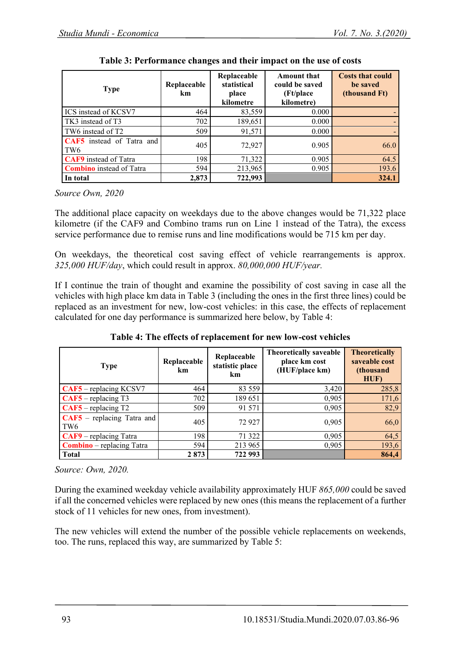| <b>Type</b>                                  | Replaceable<br>km | Replaceable<br>statistical<br>place<br>kilometre | <b>Amount that</b><br>could be saved<br>(Ft/place)<br>kilometre) | <b>Costs that could</b><br>be saved<br>(thousand Ft) |
|----------------------------------------------|-------------------|--------------------------------------------------|------------------------------------------------------------------|------------------------------------------------------|
| ICS instead of KCSV7                         | 464               | 83,559                                           | 0.000                                                            |                                                      |
| TK3 instead of T3                            | 702               | 189,651                                          | 0.000                                                            |                                                      |
| TW6 instead of T2                            | 509               | 91,571                                           | 0.000                                                            |                                                      |
| CAF5 instead of Tatra and<br>TW <sub>6</sub> | 405               | 72,927                                           | 0.905                                                            | 66.0                                                 |
| <b>CAF9</b> instead of Tatra                 | 198               | 71,322                                           | 0.905                                                            | 64.5                                                 |
| <b>Combino</b> instead of Tatra              | 594               | 213,965                                          | 0.905                                                            | 193.6                                                |
| In total                                     | 2,873             | 722,993                                          |                                                                  | 324.1                                                |

**Table 3: Performance changes and their impact on the use of costs**

*Source Own, 2020*

The additional place capacity on weekdays due to the above changes would be 71,322 place kilometre (if the CAF9 and Combino trams run on Line 1 instead of the Tatra), the excess service performance due to remise runs and line modifications would be 715 km per day.

On weekdays, the theoretical cost saving effect of vehicle rearrangements is approx. *325,000 HUF/day*, which could result in approx. *80,000,000 HUF/year.*

If I continue the train of thought and examine the possibility of cost saving in case all the vehicles with high place km data in Table 3 (including the ones in the first three lines) could be replaced as an investment for new, low-cost vehicles: in this case, the effects of replacement calculated for one day performance is summarized here below, by Table 4:

| <b>Type</b>                                     | Replaceable<br>km | Replaceable<br>statistic place<br>km | <b>Theoretically saveable</b><br>place km cost<br>(HUF/place km) | <b>Theoretically</b><br>saveable cost<br>(thousand<br>HUF) |
|-------------------------------------------------|-------------------|--------------------------------------|------------------------------------------------------------------|------------------------------------------------------------|
| $CAF5$ – replacing KCSV7                        | 464               | 83 559                               | 3,420                                                            | 285,8                                                      |
| $CAF5$ – replacing T3                           | 702               | 189 651                              | 0,905                                                            | 171,6                                                      |
| $CAF5$ – replacing T2                           | 509               | 91 571                               | 0,905                                                            | 82,9                                                       |
| $CAF5$ – replacing Tatra and<br>TW <sub>6</sub> | 405               | 72927                                | 0,905                                                            | 66,0                                                       |
| $CAF9$ – replacing Tatra                        | 198               | 71 322                               | 0,905                                                            | 64,5                                                       |
| <b>Combino</b> – replacing Tatra                | 594               | 213 965                              | 0,905                                                            | 193,6                                                      |
| <b>Total</b>                                    | 2873              | 722 993                              |                                                                  | 864,4                                                      |

**Table 4: The effects of replacement for new low-cost vehicles**

*Source: Own, 2020.*

During the examined weekday vehicle availability approximately HUF *865,000* could be saved if all the concerned vehicles were replaced by new ones (this means the replacement of a further stock of 11 vehicles for new ones, from investment).

The new vehicles will extend the number of the possible vehicle replacements on weekends, too. The runs, replaced this way, are summarized by Table 5: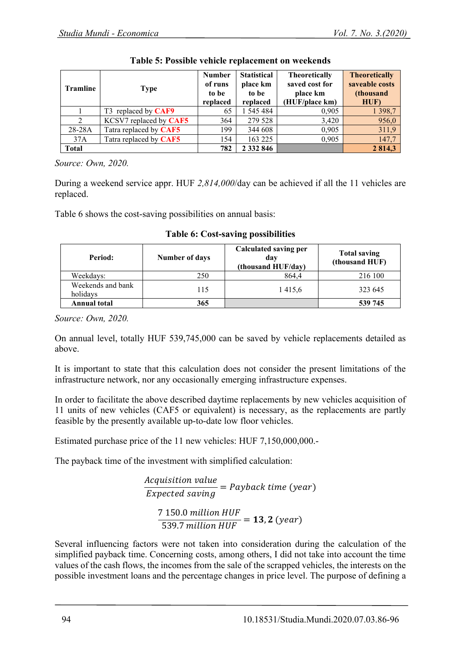| <b>Tramline</b> | <b>Type</b>            | <b>Number</b><br>of runs<br>to be<br>replaced | <b>Statistical</b><br>place km<br>to be<br>replaced | <b>Theoretically</b><br>saved cost for<br>place km<br>(HUF/place km) | <b>Theoretically</b><br>saveable costs<br>(thousand<br>HUF) |
|-----------------|------------------------|-----------------------------------------------|-----------------------------------------------------|----------------------------------------------------------------------|-------------------------------------------------------------|
|                 | T3 replaced by CAF9    | 65                                            | 1 545 484                                           | 0,905                                                                | 1 3 9 8 , 7                                                 |
| $\overline{2}$  | KCSV7 replaced by CAF5 | 364                                           | 279 528                                             | 3,420                                                                | 956,0                                                       |
| 28-28A          | Tatra replaced by CAF5 | 199                                           | 344 608                                             | 0,905                                                                | 311,9                                                       |
| 37A             | Tatra replaced by CAF5 | 154                                           | 163 225                                             | 0,905                                                                | 147,7                                                       |
| <b>Total</b>    |                        | 782                                           | 2 3 3 2 8 4 6                                       |                                                                      | 2 814,3                                                     |

|  |  | Table 5: Possible vehicle replacement on weekends |  |
|--|--|---------------------------------------------------|--|
|  |  |                                                   |  |

*Source: Own, 2020.* 

During a weekend service appr. HUF *2,814,000*/day can be achieved if all the 11 vehicles are replaced.

Table 6 shows the cost-saving possibilities on annual basis:

| Period:                       | Number of days | Calculated saving per<br>day<br>(thousand HUF/day) | <b>Total saving</b><br>(thousand HUF) |
|-------------------------------|----------------|----------------------------------------------------|---------------------------------------|
| Weekdays:                     | 250            | 864.4                                              | 216 100                               |
| Weekends and bank<br>holidays | 115            | 1415,6                                             | 323 645                               |
| Annual total                  | 365            |                                                    | 539 745                               |

**Table 6: Cost-saving possibilities**

*Source: Own, 2020.*

On annual level, totally HUF 539,745,000 can be saved by vehicle replacements detailed as above.

It is important to state that this calculation does not consider the present limitations of the infrastructure network, nor any occasionally emerging infrastructure expenses.

In order to facilitate the above described daytime replacements by new vehicles acquisition of 11 units of new vehicles (CAF5 or equivalent) is necessary, as the replacements are partly feasible by the presently available up-to-date low floor vehicles.

Estimated purchase price of the 11 new vehicles: HUF 7,150,000,000.

The payback time of the investment with simplified calculation:

Acquisition value Expected saving  $= Payback time (year)$ 7 150.0  $\frac{539.7 \text{ million HUF}}{539.7 \text{ million HUF}} = 13,2 \text{ (year)}$ 

Several influencing factors were not taken into consideration during the calculation of the simplified payback time. Concerning costs, among others, I did not take into account the time values of the cash flows, the incomes from the sale of the scrapped vehicles, the interests on the possible investment loans and the percentage changes in price level. The purpose of defining a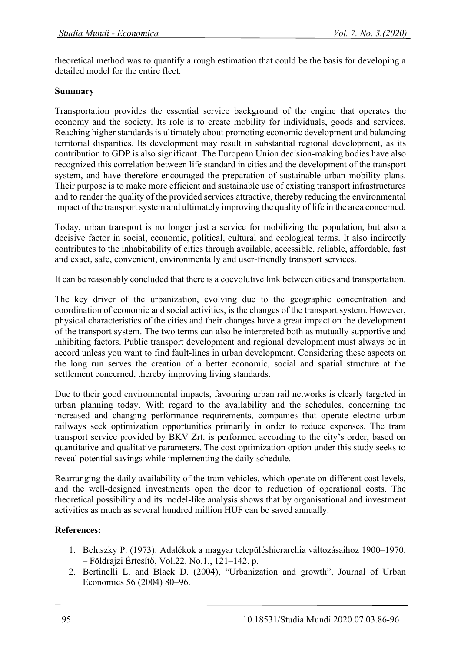theoretical method was to quantify a rough estimation that could be the basis for developing a detailed model for the entire fleet.

## **Summary**

Transportation provides the essential service background of the engine that operates the economy and the society. Its role is to create mobility for individuals, goods and services. Reaching higher standards is ultimately about promoting economic development and balancing territorial disparities. Its development may result in substantial regional development, as its contribution to GDP is also significant. The European Union decision-making bodies have also recognized this correlation between life standard in cities and the development of the transport system, and have therefore encouraged the preparation of sustainable urban mobility plans. Their purpose is to make more efficient and sustainable use of existing transport infrastructures and to render the quality of the provided services attractive, thereby reducing the environmental impact of the transport system and ultimately improving the quality of life in the area concerned.

Today, urban transport is no longer just a service for mobilizing the population, but also a decisive factor in social, economic, political, cultural and ecological terms. It also indirectly contributes to the inhabitability of cities through available, accessible, reliable, affordable, fast and exact, safe, convenient, environmentally and user-friendly transport services.

It can be reasonably concluded that there is a coevolutive link between cities and transportation.

The key driver of the urbanization, evolving due to the geographic concentration and coordination of economic and social activities, is the changes of the transport system. However, physical characteristics of the cities and their changes have a great impact on the development of the transport system. The two terms can also be interpreted both as mutually supportive and inhibiting factors. Public transport development and regional development must always be in accord unless you want to find fault-lines in urban development. Considering these aspects on the long run serves the creation of a better economic, social and spatial structure at the settlement concerned, thereby improving living standards.

Due to their good environmental impacts, favouring urban rail networks is clearly targeted in urban planning today. With regard to the availability and the schedules, concerning the increased and changing performance requirements, companies that operate electric urban railways seek optimization opportunities primarily in order to reduce expenses. The tram transport service provided by BKV Zrt. is performed according to the city's order, based on quantitative and qualitative parameters. The cost optimization option under this study seeks to reveal potential savings while implementing the daily schedule.

Rearranging the daily availability of the tram vehicles, which operate on different cost levels, and the well-designed investments open the door to reduction of operational costs. The theoretical possibility and its model-like analysis shows that by organisational and investment activities as much as several hundred million HUF can be saved annually.

## **References:**

- 1. Beluszky P. (1973): Adalékok a magyar településhierarchia változásaihoz 1900–1970. – Földrajzi Értesítő, Vol.22. No.1., 121–142. p.
- 2. Bertinelli L. and Black D. (2004), "Urbanization and growth", Journal of Urban Economics 56 (2004) 80–96.